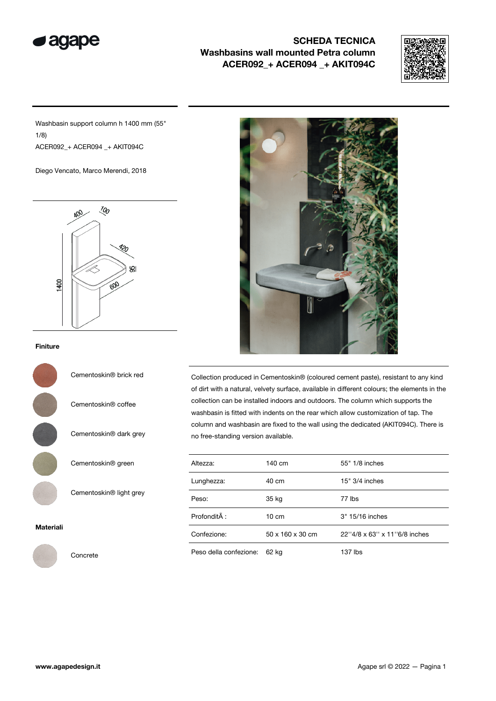

## SCHEDA TECNICA Washbasins wall mounted Petra column ACER092\_+ ACER094 \_+ AKIT094C



Washbasin support column h 1400 mm (55" 1/8) ACER092\_+ ACER094 \_+ AKIT094C

Diego Vencato, Marco Merendi, 2018



## Finiture



Cementoskin® brick red

Cementoskin® coffee

Cementoskin® dark grey

Cementoskin® green

Cementoskin® light grey

## Materiali



Concrete



Collection produced in Cementoskin® (coloured cement paste), resistant to any kind of dirt with a natural, velvety surface, available in different colours; the elements in the collection can be installed indoors and outdoors. The column which supports the washbasin is fitted with indents on the rear which allow customization of tap. The column and washbasin are fixed to the wall using the dedicated (AKIT094C). There is no free-standing version available.

| Altezza:               | 140 cm           | 55" 1/8 inches               |
|------------------------|------------------|------------------------------|
| Lunghezza:             | 40 cm            | $15" 3/4$ inches             |
| Peso:                  | 35 kg            | 77 lbs                       |
| Profondità :           | $10 \text{ cm}$  | 3" 15/16 inches              |
| Confezione:            | 50 x 160 x 30 cm | 22"4/8 x 63" x 11"6/8 inches |
| Peso della confezione: | 62 kg            | 137 Ibs                      |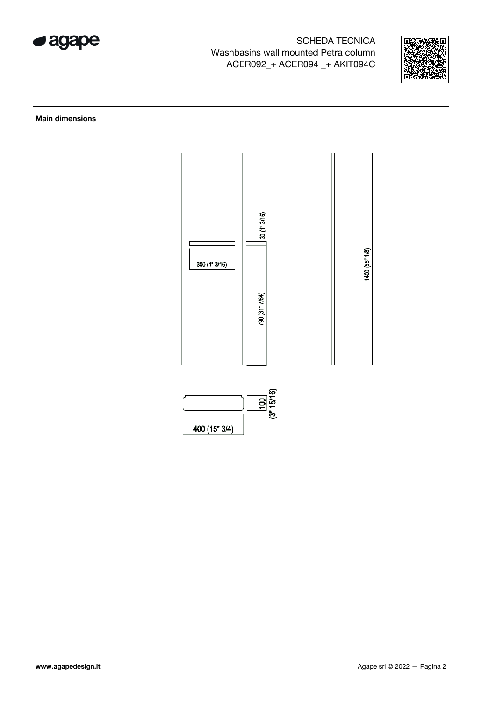

SCHEDA TECNICA Washbasins wall mounted Petra column ACER092\_+ ACER094 \_+ AKIT094C



Main dimensions